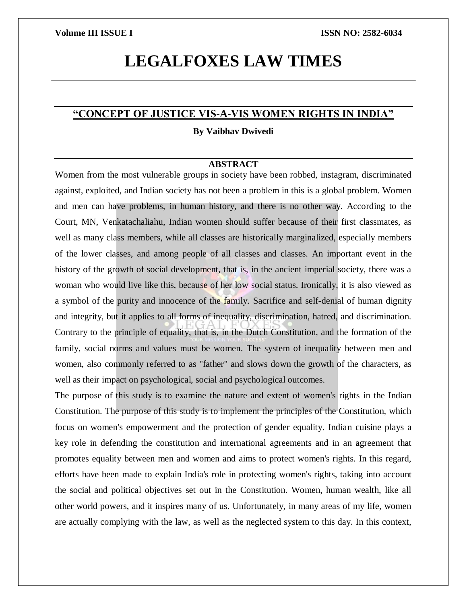# **LEGALFOXES LAW TIMES**

# **"CONCEPT OF JUSTICE VIS-A-VIS WOMEN RIGHTS IN INDIA"**

## **By Vaibhav Dwivedi**

# **ABSTRACT**

Women from the most vulnerable groups in society have been robbed, instagram, discriminated against, exploited, and Indian society has not been a problem in this is a global problem. Women and men can have problems, in human history, and there is no other way. According to the Court, MN, Venkatachaliahu, Indian women should suffer because of their first classmates, as well as many class members, while all classes are historically marginalized, especially members of the lower classes, and among people of all classes and classes. An important event in the history of the growth of social development, that is, in the ancient imperial society, there was a woman who would live like this, because of her low social status. Ironically, it is also viewed as a symbol of the purity and innocence of the family. Sacrifice and self-denial of human dignity and integrity, but it applies to all forms of inequality, discrimination, hatred, and discrimination. Contrary to the principle of equality, that is, in the Dutch Constitution, and the formation of the family, social norms and values must be women. The system of inequality between men and women, also commonly referred to as "father" and slows down the growth of the characters, as well as their impact on psychological, social and psychological outcomes.

The purpose of this study is to examine the nature and extent of women's rights in the Indian Constitution. The purpose of this study is to implement the principles of the Constitution, which focus on women's empowerment and the protection of gender equality. Indian cuisine plays a key role in defending the constitution and international agreements and in an agreement that promotes equality between men and women and aims to protect women's rights. In this regard, efforts have been made to explain India's role in protecting women's rights, taking into account the social and political objectives set out in the Constitution. Women, human wealth, like all other world powers, and it inspires many of us. Unfortunately, in many areas of my life, women are actually complying with the law, as well as the neglected system to this day. In this context,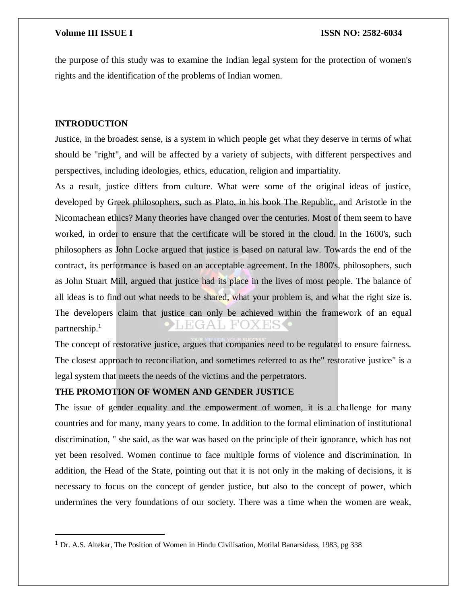the purpose of this study was to examine the Indian legal system for the protection of women's rights and the identification of the problems of Indian women.

### **INTRODUCTION**

 $\overline{a}$ 

Justice, in the broadest sense, is a system in which people get what they deserve in terms of what should be "right", and will be affected by a variety of subjects, with different perspectives and perspectives, including ideologies, ethics, education, religion and impartiality.

As a result, justice differs from culture. What were some of the original ideas of justice, developed by Greek philosophers, such as Plato, in his book The Republic, and Aristotle in the Nicomachean ethics? Many theories have changed over the centuries. Most of them seem to have worked, in order to ensure that the certificate will be stored in the cloud. In the 1600's, such philosophers as John Locke argued that justice is based on natural law. Towards the end of the contract, its performance is based on an acceptable agreement. In the 1800's, philosophers, such as John Stuart Mill, argued that justice had its place in the lives of most people. The balance of all ideas is to find out what needs to be shared, what your problem is, and what the right size is. The developers claim that justice can only be achieved within the framework of an equal partnership.<sup>1</sup>

The concept of restorative justice, argues that companies need to be regulated to ensure fairness. The closest approach to reconciliation, and sometimes referred to as the" restorative justice" is a legal system that meets the needs of the victims and the perpetrators.

## **THE PROMOTION OF WOMEN AND GENDER JUSTICE**

The issue of gender equality and the empowerment of women, it is a challenge for many countries and for many, many years to come. In addition to the formal elimination of institutional discrimination, " she said, as the war was based on the principle of their ignorance, which has not yet been resolved. Women continue to face multiple forms of violence and discrimination. In addition, the Head of the State, pointing out that it is not only in the making of decisions, it is necessary to focus on the concept of gender justice, but also to the concept of power, which undermines the very foundations of our society. There was a time when the women are weak,

<sup>1</sup> Dr. A.S. Altekar, The Position of Women in Hindu Civilisation, Motilal Banarsidass, 1983, pg 338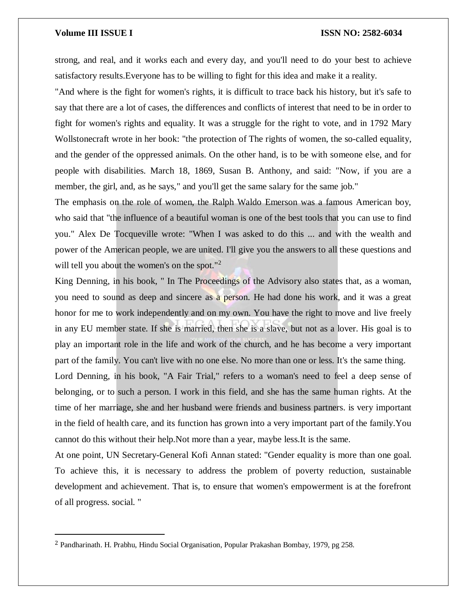$\overline{a}$ 

### **Volume III ISSUE I ISSN NO: 2582-6034**

strong, and real, and it works each and every day, and you'll need to do your best to achieve satisfactory results.Everyone has to be willing to fight for this idea and make it a reality.

"And where is the fight for women's rights, it is difficult to trace back his history, but it's safe to say that there are a lot of cases, the differences and conflicts of interest that need to be in order to fight for women's rights and equality. It was a struggle for the right to vote, and in 1792 Mary Wollstonecraft wrote in her book: "the protection of The rights of women, the so-called equality, and the gender of the oppressed animals. On the other hand, is to be with someone else, and for people with disabilities. March 18, 1869, Susan B. Anthony, and said: "Now, if you are a member, the girl, and, as he says," and you'll get the same salary for the same job."

The emphasis on the role of women, the Ralph Waldo Emerson was a famous American boy, who said that "the influence of a beautiful woman is one of the best tools that you can use to find you." Alex De Tocqueville wrote: "When I was asked to do this ... and with the wealth and power of the American people, we are united. I'll give you the answers to all these questions and will tell you about the women's on the spot."<sup>2</sup>

King Denning, in his book, " In The Proceedings of the Advisory also states that, as a woman, you need to sound as deep and sincere as a person. He had done his work, and it was a great honor for me to work independently and on my own. You have the right to move and live freely in any EU member state. If she is married, then she is a slave, but not as a lover. His goal is to play an important role in the life and work of the church, and he has become a very important part of the family. You can't live with no one else. No more than one or less. It's the same thing.

Lord Denning, in his book, "A Fair Trial," refers to a woman's need to feel a deep sense of belonging, or to such a person. I work in this field, and she has the same human rights. At the time of her marriage, she and her husband were friends and business partners. is very important in the field of health care, and its function has grown into a very important part of the family.You cannot do this without their help.Not more than a year, maybe less.It is the same.

At one point, UN Secretary-General Kofi Annan stated: "Gender equality is more than one goal. To achieve this, it is necessary to address the problem of poverty reduction, sustainable development and achievement. That is, to ensure that women's empowerment is at the forefront of all progress. social. "

<sup>2</sup> Pandharinath. H. Prabhu, Hindu Social Organisation, Popular Prakashan Bombay, 1979, pg 258.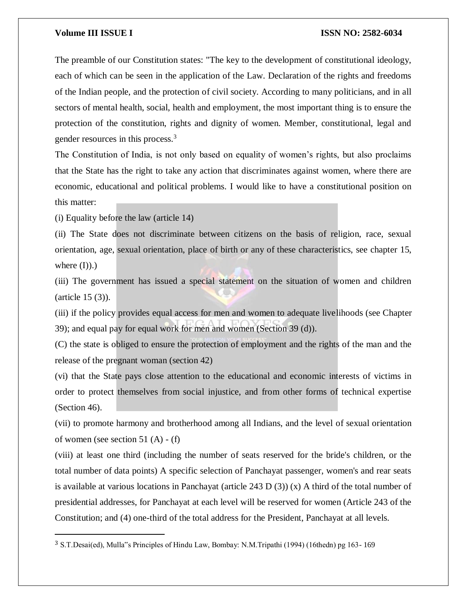The preamble of our Constitution states: "The key to the development of constitutional ideology, each of which can be seen in the application of the Law. Declaration of the rights and freedoms of the Indian people, and the protection of civil society. According to many politicians, and in all sectors of mental health, social, health and employment, the most important thing is to ensure the protection of the constitution, rights and dignity of women. Member, constitutional, legal and gender resources in this process.<sup>3</sup>

The Constitution of India, is not only based on equality of women's rights, but also proclaims that the State has the right to take any action that discriminates against women, where there are economic, educational and political problems. I would like to have a constitutional position on this matter:

(i) Equality before the law (article 14)

 $\overline{a}$ 

(ii) The State does not discriminate between citizens on the basis of religion, race, sexual orientation, age, sexual orientation, place of birth or any of these characteristics, see chapter 15, where  $(I)$ ).)

(iii) The government has issued a special statement on the situation of women and children (article 15 (3)).

(iii) if the policy provides equal access for men and women to adequate livelihoods (see Chapter 39); and equal pay for equal work for men and women (Section 39 (d)).

(C) the state is obliged to ensure the protection of employment and the rights of the man and the release of the pregnant woman (section 42)

(vi) that the State pays close attention to the educational and economic interests of victims in order to protect themselves from social injustice, and from other forms of technical expertise (Section 46).

(vii) to promote harmony and brotherhood among all Indians, and the level of sexual orientation of women (see section 51 (A) - (f)

(viii) at least one third (including the number of seats reserved for the bride's children, or the total number of data points) A specific selection of Panchayat passenger, women's and rear seats is available at various locations in Panchayat (article 243 D (3)) (x) A third of the total number of presidential addresses, for Panchayat at each level will be reserved for women (Article 243 of the Constitution; and (4) one-third of the total address for the President, Panchayat at all levels.

<sup>3</sup> S.T.Desai(ed), Mulla"s Principles of Hindu Law, Bombay: N.M.Tripathi (1994) (16thedn) pg 163- 169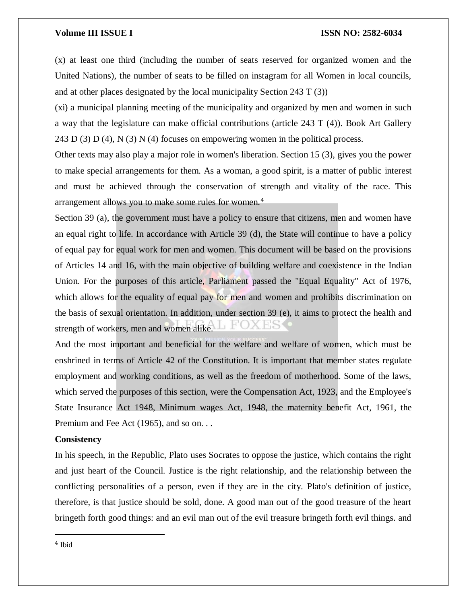(x) at least one third (including the number of seats reserved for organized women and the United Nations), the number of seats to be filled on instagram for all Women in local councils, and at other places designated by the local municipality Section 243 T (3))

(xi) a municipal planning meeting of the municipality and organized by men and women in such a way that the legislature can make official contributions (article 243 T (4)). Book Art Gallery 243 D (3) D (4), N (3) N (4) focuses on empowering women in the political process.

Other texts may also play a major role in women's liberation. Section 15 (3), gives you the power to make special arrangements for them. As a woman, a good spirit, is a matter of public interest and must be achieved through the conservation of strength and vitality of the race. This arrangement allows you to make some rules for women.<sup>4</sup>

Section 39 (a), the government must have a policy to ensure that citizens, men and women have an equal right to life. In accordance with Article 39 (d), the State will continue to have a policy of equal pay for equal work for men and women. This document will be based on the provisions of Articles 14 and 16, with the main objective of building welfare and coexistence in the Indian Union. For the purposes of this article, Parliament passed the "Equal Equality" Act of 1976, which allows for the equality of equal pay for men and women and prohibits discrimination on the basis of sexual orientation. In addition, under section 39 (e), it aims to protect the health and strength of workers, men and women alike.

And the most important and beneficial for the welfare and welfare of women, which must be enshrined in terms of Article 42 of the Constitution. It is important that member states regulate employment and working conditions, as well as the freedom of motherhood. Some of the laws, which served the purposes of this section, were the Compensation Act, 1923, and the Employee's State Insurance Act 1948, Minimum wages Act, 1948, the maternity benefit Act, 1961, the Premium and Fee Act (1965), and so on. . .

### **Consistency**

In his speech, in the Republic, Plato uses Socrates to oppose the justice, which contains the right and just heart of the Council. Justice is the right relationship, and the relationship between the conflicting personalities of a person, even if they are in the city. Plato's definition of justice, therefore, is that justice should be sold, done. A good man out of the good treasure of the heart bringeth forth good things: and an evil man out of the evil treasure bringeth forth evil things. and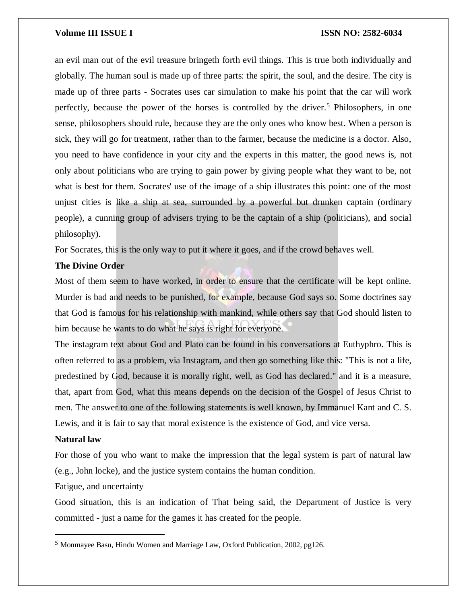an evil man out of the evil treasure bringeth forth evil things. This is true both individually and globally. The human soul is made up of three parts: the spirit, the soul, and the desire. The city is made up of three parts - Socrates uses car simulation to make his point that the car will work perfectly, because the power of the horses is controlled by the driver.<sup>5</sup> Philosophers, in one sense, philosophers should rule, because they are the only ones who know best. When a person is sick, they will go for treatment, rather than to the farmer, because the medicine is a doctor. Also, you need to have confidence in your city and the experts in this matter, the good news is, not only about politicians who are trying to gain power by giving people what they want to be, not what is best for them. Socrates' use of the image of a ship illustrates this point: one of the most unjust cities is like a ship at sea, surrounded by a powerful but drunken captain (ordinary people), a cunning group of advisers trying to be the captain of a ship (politicians), and social philosophy).

For Socrates, this is the only way to put it where it goes, and if the crowd behaves well.

# **The Divine Order**

Most of them seem to have worked, in order to ensure that the certificate will be kept online. Murder is bad and needs to be punished, for example, because God says so. Some doctrines say that God is famous for his relationship with mankind, while others say that God should listen to him because he wants to do what he says is right for everyone.

The instagram text about God and Plato can be found in his conversations at Euthyphro. This is often referred to as a problem, via Instagram, and then go something like this: "This is not a life, predestined by God, because it is morally right, well, as God has declared." and it is a measure, that, apart from God, what this means depends on the decision of the Gospel of Jesus Christ to men. The answer to one of the following statements is well known, by Immanuel Kant and C. S. Lewis, and it is fair to say that moral existence is the existence of God, and vice versa.

### **Natural law**

 $\overline{a}$ 

For those of you who want to make the impression that the legal system is part of natural law (e.g., John locke), and the justice system contains the human condition.

Fatigue, and uncertainty

Good situation, this is an indication of That being said, the Department of Justice is very committed - just a name for the games it has created for the people.

<sup>5</sup> Monmayee Basu, Hindu Women and Marriage Law, Oxford Publication, 2002, pg126.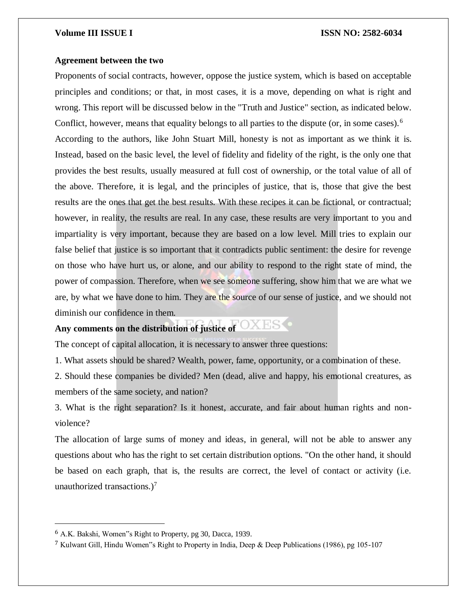### **Agreement between the two**

Proponents of social contracts, however, oppose the justice system, which is based on acceptable principles and conditions; or that, in most cases, it is a move, depending on what is right and wrong. This report will be discussed below in the "Truth and Justice" section, as indicated below. Conflict, however, means that equality belongs to all parties to the dispute (or, in some cases).<sup>6</sup> According to the authors, like John Stuart Mill, honesty is not as important as we think it is. Instead, based on the basic level, the level of fidelity and fidelity of the right, is the only one that provides the best results, usually measured at full cost of ownership, or the total value of all of the above. Therefore, it is legal, and the principles of justice, that is, those that give the best results are the ones that get the best results. With these recipes it can be fictional, or contractual; however, in reality, the results are real. In any case, these results are very important to you and impartiality is very important, because they are based on a low level. Mill tries to explain our false belief that justice is so important that it contradicts public sentiment: the desire for revenge on those who have hurt us, or alone, and our ability to respond to the right state of mind, the power of compassion. Therefore, when we see someone suffering, show him that we are what we are, by what we have done to him. They are the source of our sense of justice, and we should not diminish our confidence in them.

# **Any comments on the distribution of justice of**

The concept of capital allocation, it is necessary to answer three questions:

1. What assets should be shared? Wealth, power, fame, opportunity, or a combination of these.

2. Should these companies be divided? Men (dead, alive and happy, his emotional creatures, as members of the same society, and nation?

3. What is the right separation? Is it honest, accurate, and fair about human rights and nonviolence?

The allocation of large sums of money and ideas, in general, will not be able to answer any questions about who has the right to set certain distribution options. "On the other hand, it should be based on each graph, that is, the results are correct, the level of contact or activity (i.e. unauthorized transactions.)<sup>7</sup>

<sup>6</sup> A.K. Bakshi, Women"s Right to Property, pg 30, Dacca, 1939.

<sup>7</sup> Kulwant Gill, Hindu Women"s Right to Property in India, Deep & Deep Publications (1986), pg 105-107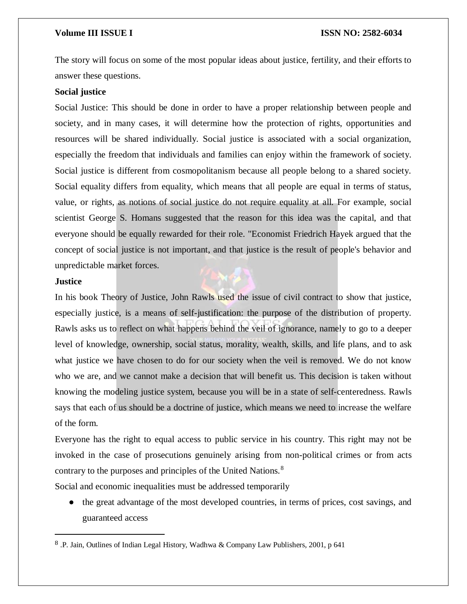The story will focus on some of the most popular ideas about justice, fertility, and their efforts to answer these questions.

# **Social justice**

Social Justice: This should be done in order to have a proper relationship between people and society, and in many cases, it will determine how the protection of rights, opportunities and resources will be shared individually. Social justice is associated with a social organization, especially the freedom that individuals and families can enjoy within the framework of society. Social justice is different from cosmopolitanism because all people belong to a shared society. Social equality differs from equality, which means that all people are equal in terms of status, value, or rights, as notions of social justice do not require equality at all. For example, social scientist George S. Homans suggested that the reason for this idea was the capital, and that everyone should be equally rewarded for their role. "Economist Friedrich Hayek argued that the concept of social justice is not important, and that justice is the result of people's behavior and unpredictable market forces.

# **Justice**

 $\overline{a}$ 

In his book Theory of Justice, John Rawls used the issue of civil contract to show that justice, especially justice, is a means of self-justification: the purpose of the distribution of property. Rawls asks us to reflect on what happens behind the veil of ignorance, namely to go to a deeper level of knowledge, ownership, social status, morality, wealth, skills, and life plans, and to ask what justice we have chosen to do for our society when the veil is removed. We do not know who we are, and we cannot make a decision that will benefit us. This decision is taken without knowing the modeling justice system, because you will be in a state of self-centeredness. Rawls says that each of us should be a doctrine of justice, which means we need to increase the welfare of the form.

Everyone has the right to equal access to public service in his country. This right may not be invoked in the case of prosecutions genuinely arising from non-political crimes or from acts contrary to the purposes and principles of the United Nations.<sup>8</sup>

Social and economic inequalities must be addressed temporarily

● the great advantage of the most developed countries, in terms of prices, cost savings, and guaranteed access

<sup>8</sup> .P. Jain, Outlines of Indian Legal History, Wadhwa & Company Law Publishers, 2001, p 641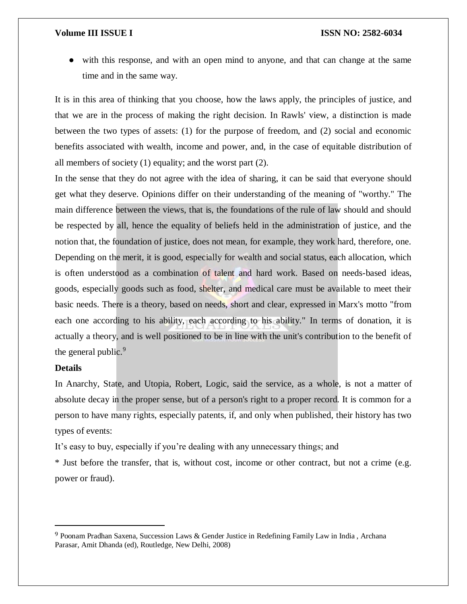● with this response, and with an open mind to anyone, and that can change at the same time and in the same way.

It is in this area of thinking that you choose, how the laws apply, the principles of justice, and that we are in the process of making the right decision. In Rawls' view, a distinction is made between the two types of assets: (1) for the purpose of freedom, and (2) social and economic benefits associated with wealth, income and power, and, in the case of equitable distribution of all members of society (1) equality; and the worst part (2).

In the sense that they do not agree with the idea of sharing, it can be said that everyone should get what they deserve. Opinions differ on their understanding of the meaning of "worthy." The main difference between the views, that is, the foundations of the rule of law should and should be respected by all, hence the equality of beliefs held in the administration of justice, and the notion that, the foundation of justice, does not mean, for example, they work hard, therefore, one. Depending on the merit, it is good, especially for wealth and social status, each allocation, which is often understood as a combination of talent and hard work. Based on needs-based ideas, goods, especially goods such as food, shelter, and medical care must be available to meet their basic needs. There is a theory, based on needs, short and clear, expressed in Marx's motto "from each one according to his ability, each according to his ability." In terms of donation, it is actually a theory, and is well positioned to be in line with the unit's contribution to the benefit of the general public.<sup>9</sup>

### **Details**

 $\overline{\phantom{a}}$ 

In Anarchy, State, and Utopia, Robert, Logic, said the service, as a whole, is not a matter of absolute decay in the proper sense, but of a person's right to a proper record. It is common for a person to have many rights, especially patents, if, and only when published, their history has two types of events:

It's easy to buy, especially if you're dealing with any unnecessary things; and

\* Just before the transfer, that is, without cost, income or other contract, but not a crime (e.g. power or fraud).

<sup>9</sup> Poonam Pradhan Saxena, Succession Laws & Gender Justice in Redefining Family Law in India , Archana Parasar, Amit Dhanda (ed), Routledge, New Delhi, 2008)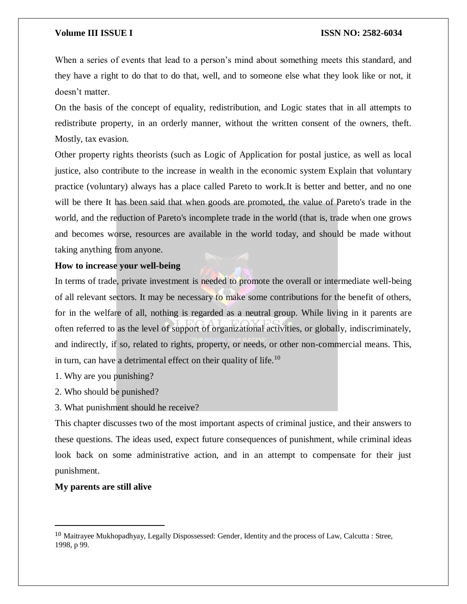When a series of events that lead to a person's mind about something meets this standard, and they have a right to do that to do that, well, and to someone else what they look like or not, it doesn't matter.

On the basis of the concept of equality, redistribution, and Logic states that in all attempts to redistribute property, in an orderly manner, without the written consent of the owners, theft. Mostly, tax evasion.

Other property rights theorists (such as Logic of Application for postal justice, as well as local justice, also contribute to the increase in wealth in the economic system Explain that voluntary practice (voluntary) always has a place called Pareto to work.It is better and better, and no one will be there It has been said that when goods are promoted, the value of Pareto's trade in the world, and the reduction of Pareto's incomplete trade in the world (that is, trade when one grows and becomes worse, resources are available in the world today, and should be made without taking anything from anyone.

# **How to increase your well-being**

In terms of trade, private investment is needed to promote the overall or intermediate well-being of all relevant sectors. It may be necessary to make some contributions for the benefit of others, for in the welfare of all, nothing is regarded as a neutral group. While living in it parents are often referred to as the level of support of organizational activities, or globally, indiscriminately, and indirectly, if so, related to rights, property, or needs, or other non-commercial means. This, in turn, can have a detrimental effect on their quality of life.<sup>10</sup>

- 1. Why are you punishing?
- 2. Who should be punished?
- 3. What punishment should he receive?

This chapter discusses two of the most important aspects of criminal justice, and their answers to these questions. The ideas used, expect future consequences of punishment, while criminal ideas look back on some administrative action, and in an attempt to compensate for their just punishment.

# **My parents are still alive**

 $\overline{\phantom{a}}$ 

<sup>10</sup> Maitrayee Mukhopadhyay, Legally Dispossessed: Gender, Identity and the process of Law, Calcutta : Stree, 1998, p 99.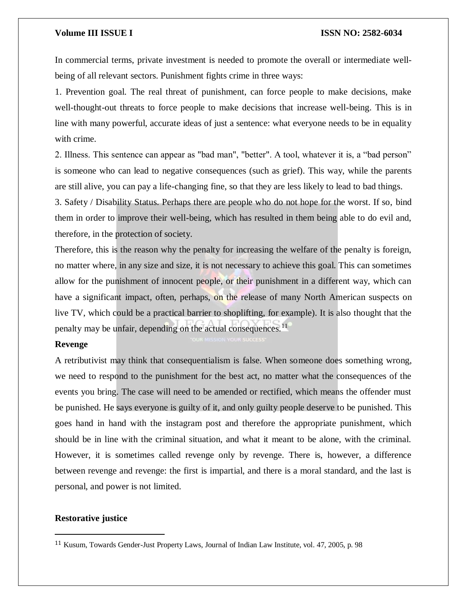In commercial terms, private investment is needed to promote the overall or intermediate wellbeing of all relevant sectors. Punishment fights crime in three ways:

1. Prevention goal. The real threat of punishment, can force people to make decisions, make well-thought-out threats to force people to make decisions that increase well-being. This is in line with many powerful, accurate ideas of just a sentence: what everyone needs to be in equality with crime.

2. Illness. This sentence can appear as "bad man", "better". A tool, whatever it is, a "bad person" is someone who can lead to negative consequences (such as grief). This way, while the parents are still alive, you can pay a life-changing fine, so that they are less likely to lead to bad things.

3. Safety / Disability Status. Perhaps there are people who do not hope for the worst. If so, bind them in order to improve their well-being, which has resulted in them being able to do evil and, therefore, in the protection of society.

Therefore, this is the reason why the penalty for increasing the welfare of the penalty is foreign, no matter where, in any size and size, it is not necessary to achieve this goal. This can sometimes allow for the punishment of innocent people, or their punishment in a different way, which can have a significant impact, often, perhaps, on the release of many North American suspects on live TV, which could be a practical barrier to shoplifting, for example). It is also thought that the penalty may be unfair, depending on the actual consequences.<sup>11</sup>

# **Revenge**

A retributivist may think that consequentialism is false. When someone does something wrong, we need to respond to the punishment for the best act, no matter what the consequences of the events you bring. The case will need to be amended or rectified, which means the offender must be punished. He says everyone is guilty of it, and only guilty people deserve to be punished. This goes hand in hand with the instagram post and therefore the appropriate punishment, which should be in line with the criminal situation, and what it meant to be alone, with the criminal. However, it is sometimes called revenge only by revenge. There is, however, a difference between revenge and revenge: the first is impartial, and there is a moral standard, and the last is personal, and power is not limited.

# **Restorative justice**

<sup>11</sup> Kusum, Towards Gender-Just Property Laws, Journal of Indian Law Institute, vol. 47, 2005, p. 98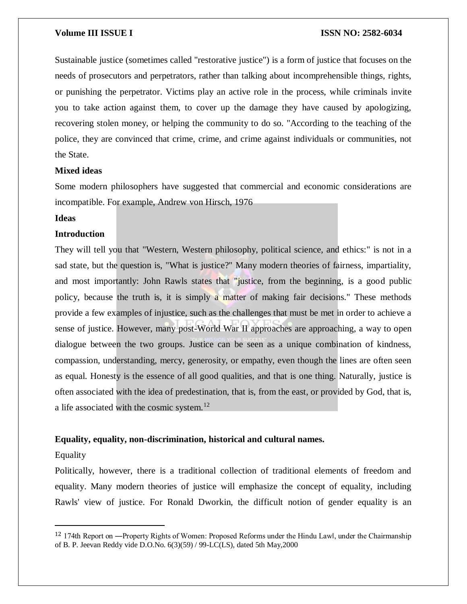Sustainable justice (sometimes called "restorative justice") is a form of justice that focuses on the needs of prosecutors and perpetrators, rather than talking about incomprehensible things, rights, or punishing the perpetrator. Victims play an active role in the process, while criminals invite you to take action against them, to cover up the damage they have caused by apologizing, recovering stolen money, or helping the community to do so. "According to the teaching of the police, they are convinced that crime, crime, and crime against individuals or communities, not the State.

## **Mixed ideas**

Some modern philosophers have suggested that commercial and economic considerations are incompatible. For example, Andrew von Hirsch, 1976

# **Ideas**

### **Introduction**

They will tell you that "Western, Western philosophy, political science, and ethics:" is not in a sad state, but the question is, "What is justice?" Many modern theories of fairness, impartiality, and most importantly: John Rawls states that "justice, from the beginning, is a good public policy, because the truth is, it is simply a matter of making fair decisions." These methods provide a few examples of injustice, such as the challenges that must be met in order to achieve a sense of justice. However, many post-World War II approaches are approaching, a way to open dialogue between the two groups. Justice can be seen as a unique combination of kindness, compassion, understanding, mercy, generosity, or empathy, even though the lines are often seen as equal. Honesty is the essence of all good qualities, and that is one thing. Naturally, justice is often associated with the idea of predestination, that is, from the east, or provided by God, that is, a life associated with the cosmic system.<sup>12</sup>

### **Equality, equality, non-discrimination, historical and cultural names.**

### Equality

 $\overline{\phantom{a}}$ 

Politically, however, there is a traditional collection of traditional elements of freedom and equality. Many modern theories of justice will emphasize the concept of equality, including Rawls' view of justice. For Ronald Dworkin, the difficult notion of gender equality is an

<sup>&</sup>lt;sup>12</sup> 174th Report on —Property Rights of Women: Proposed Reforms under the Hindu Lawl, under the Chairmanship of B. P. Jeevan Reddy vide D.O.No. 6(3)(59) / 99-LC(LS), dated 5th May,2000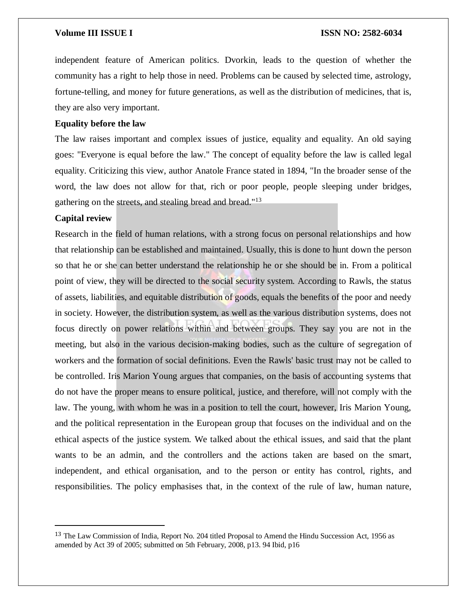independent feature of American politics. Dvorkin, leads to the question of whether the community has a right to help those in need. Problems can be caused by selected time, astrology, fortune-telling, and money for future generations, as well as the distribution of medicines, that is, they are also very important.

### **Equality before the law**

The law raises important and complex issues of justice, equality and equality. An old saying goes: "Everyone is equal before the law." The concept of equality before the law is called legal equality. Criticizing this view, author Anatole France stated in 1894, "In the broader sense of the word, the law does not allow for that, rich or poor people, people sleeping under bridges, gathering on the streets, and stealing bread and bread."<sup>13</sup>

# **Capital review**

 $\overline{\phantom{a}}$ 

Research in the field of human relations, with a strong focus on personal relationships and how that relationship can be established and maintained. Usually, this is done to hunt down the person so that he or she can better understand the relationship he or she should be in. From a political point of view, they will be directed to the social security system. According to Rawls, the status of assets, liabilities, and equitable distribution of goods, equals the benefits of the poor and needy in society. However, the distribution system, as well as the various distribution systems, does not focus directly on power relations within and between groups. They say you are not in the meeting, but also in the various decision-making bodies, such as the culture of segregation of workers and the formation of social definitions. Even the Rawls' basic trust may not be called to be controlled. Iris Marion Young argues that companies, on the basis of accounting systems that do not have the proper means to ensure political, justice, and therefore, will not comply with the law. The young, with whom he was in a position to tell the court, however, Iris Marion Young, and the political representation in the European group that focuses on the individual and on the ethical aspects of the justice system. We talked about the ethical issues, and said that the plant wants to be an admin, and the controllers and the actions taken are based on the smart, independent, and ethical organisation, and to the person or entity has control, rights, and responsibilities. The policy emphasises that, in the context of the rule of law, human nature,

<sup>&</sup>lt;sup>13</sup> The Law Commission of India, Report No. 204 titled Proposal to Amend the Hindu Succession Act, 1956 as amended by Act 39 of 2005; submitted on 5th February, 2008, p13. 94 Ibid, p16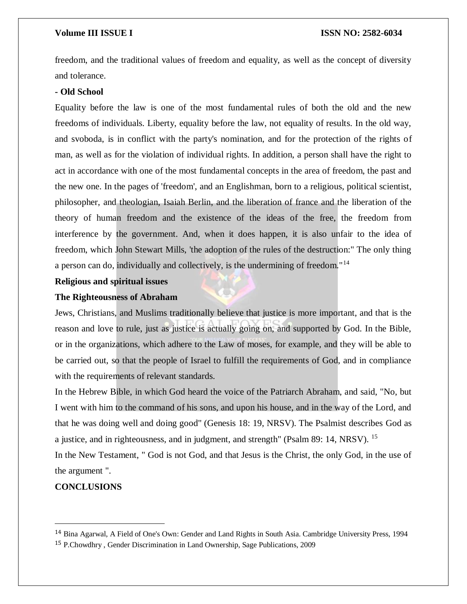freedom, and the traditional values of freedom and equality, as well as the concept of diversity and tolerance.

# **- Old School**

Equality before the law is one of the most fundamental rules of both the old and the new freedoms of individuals. Liberty, equality before the law, not equality of results. In the old way, and svoboda, is in conflict with the party's nomination, and for the protection of the rights of man, as well as for the violation of individual rights. In addition, a person shall have the right to act in accordance with one of the most fundamental concepts in the area of freedom, the past and the new one. In the pages of 'freedom', and an Englishman, born to a religious, political scientist, philosopher, and theologian, Isaiah Berlin, and the liberation of france and the liberation of the theory of human freedom and the existence of the ideas of the free, the freedom from interference by the government. And, when it does happen, it is also unfair to the idea of freedom, which John Stewart Mills, 'the adoption of the rules of the destruction:" The only thing a person can do, individually and collectively, is the undermining of freedom."<sup>14</sup>

# **Religious and spiritual issues**

# **The Righteousness of Abraham**

Jews, Christians, and Muslims traditionally believe that justice is more important, and that is the reason and love to rule, just as justice is actually going on, and supported by God. In the Bible, or in the organizations, which adhere to the Law of moses, for example, and they will be able to be carried out, so that the people of Israel to fulfill the requirements of God, and in compliance with the requirements of relevant standards.

In the Hebrew Bible, in which God heard the voice of the Patriarch Abraham, and said, "No, but I went with him to the command of his sons, and upon his house, and in the way of the Lord, and that he was doing well and doing good" (Genesis 18: 19, NRSV). The Psalmist describes God as a justice, and in righteousness, and in judgment, and strength" (Psalm 89: 14, NRSV). <sup>15</sup>

In the New Testament, " God is not God, and that Jesus is the Christ, the only God, in the use of the argument ".

# **CONCLUSIONS**

<sup>14</sup> Bina Agarwal, A Field of One's Own: Gender and Land Rights in South Asia. Cambridge University Press, 1994

<sup>15</sup> P.Chowdhry , Gender Discrimination in Land Ownership, Sage Publications, 2009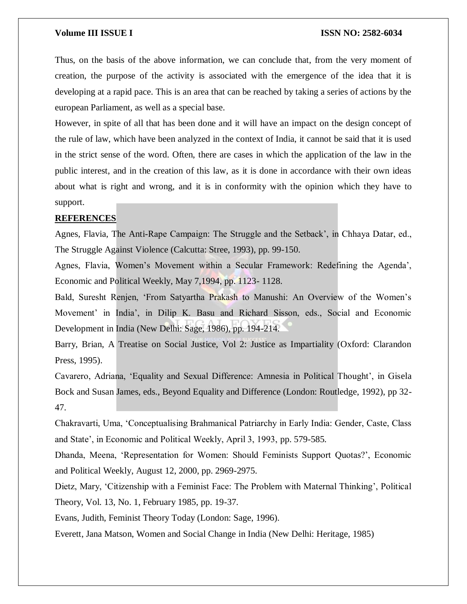Thus, on the basis of the above information, we can conclude that, from the very moment of creation, the purpose of the activity is associated with the emergence of the idea that it is developing at a rapid pace. This is an area that can be reached by taking a series of actions by the european Parliament, as well as a special base.

However, in spite of all that has been done and it will have an impact on the design concept of the rule of law, which have been analyzed in the context of India, it cannot be said that it is used in the strict sense of the word. Often, there are cases in which the application of the law in the public interest, and in the creation of this law, as it is done in accordance with their own ideas about what is right and wrong, and it is in conformity with the opinion which they have to support.

# **REFERENCES**

Agnes, Flavia, The Anti-Rape Campaign: The Struggle and the Setback', in Chhaya Datar, ed., The Struggle Against Violence (Calcutta: Stree, 1993), pp. 99-150.

Agnes, Flavia, Women's Movement within a Secular Framework: Redefining the Agenda', Economic and Political Weekly, May 7,1994, pp. 1123- 1128.

Bald, Suresht Renjen, 'From Satyartha Prakash to Manushi: An Overview of the Women's Movement' in India', in Dilip K. Basu and Richard Sisson, eds., Social and Economic Development in India (New Delhi: Sage, 1986), pp. 194-214.

Barry, Brian, A Treatise on Social Justice, Vol 2: Justice as Impartiality (Oxford: Clarandon Press, 1995).

Cavarero, Adriana, 'Equality and Sexual Difference: Amnesia in Political Thought', in Gisela Bock and Susan James, eds., Beyond Equality and Difference (London: Routledge, 1992), pp 32- 47.

Chakravarti, Uma, 'Conceptualising Brahmanical Patriarchy in Early India: Gender, Caste, Class and State', in Economic and Political Weekly, April 3, 1993, pp. 579-585.

Dhanda, Meena, 'Representation for Women: Should Feminists Support Quotas?', Economic and Political Weekly, August 12, 2000, pp. 2969-2975.

Dietz, Mary, 'Citizenship with a Feminist Face: The Problem with Maternal Thinking', Political Theory, Vol. 13, No. 1, February 1985, pp. 19-37.

Evans, Judith, Feminist Theory Today (London: Sage, 1996).

Everett, Jana Matson, Women and Social Change in India (New Delhi: Heritage, 1985)